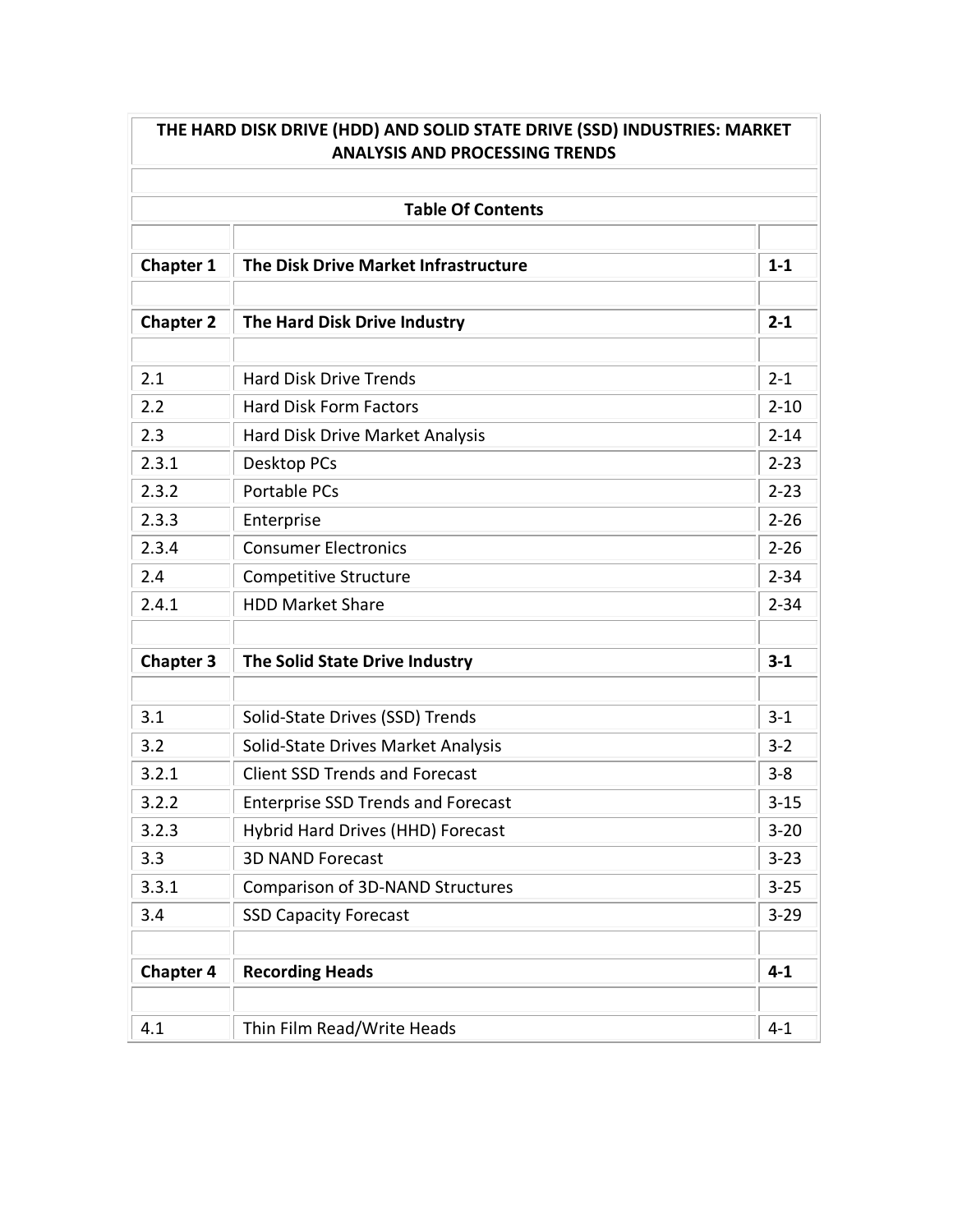| <b>ANALYSIS AND PROCESSING TRENDS</b> |                                           |          |  |  |
|---------------------------------------|-------------------------------------------|----------|--|--|
| <b>Table Of Contents</b>              |                                           |          |  |  |
| <b>Chapter 1</b>                      | The Disk Drive Market Infrastructure      | $1 - 1$  |  |  |
| <b>Chapter 2</b>                      | The Hard Disk Drive Industry              | $2 - 1$  |  |  |
| 2.1                                   | <b>Hard Disk Drive Trends</b>             | $2 - 1$  |  |  |
| 2.2                                   | <b>Hard Disk Form Factors</b>             | $2 - 10$ |  |  |
| 2.3                                   | Hard Disk Drive Market Analysis           | $2 - 14$ |  |  |
| 2.3.1                                 | <b>Desktop PCs</b>                        | $2 - 23$ |  |  |
| 2.3.2                                 | <b>Portable PCs</b>                       | $2 - 23$ |  |  |
| 2.3.3                                 | Enterprise                                | $2 - 26$ |  |  |
| 2.3.4                                 | <b>Consumer Electronics</b>               | $2 - 26$ |  |  |
| 2.4                                   | Competitive Structure                     | $2 - 34$ |  |  |
| 2.4.1                                 | <b>HDD Market Share</b>                   | $2 - 34$ |  |  |
| <b>Chapter 3</b>                      | The Solid State Drive Industry            | $3 - 1$  |  |  |
| 3.1                                   | Solid-State Drives (SSD) Trends           | $3 - 1$  |  |  |
| 3.2                                   | Solid-State Drives Market Analysis        | $3 - 2$  |  |  |
| 3.2.1                                 | <b>Client SSD Trends and Forecast</b>     | $3 - 8$  |  |  |
| 3.2.2                                 | <b>Enterprise SSD Trends and Forecast</b> | $3 - 15$ |  |  |
| 3.2.3                                 | Hybrid Hard Drives (HHD) Forecast         | $3 - 20$ |  |  |
| 3.3                                   | <b>3D NAND Forecast</b>                   | $3 - 23$ |  |  |
| 3.3.1                                 | Comparison of 3D-NAND Structures          | $3 - 25$ |  |  |
| 3.4                                   | <b>SSD Capacity Forecast</b>              | $3 - 29$ |  |  |
| <b>Chapter 4</b>                      | <b>Recording Heads</b>                    | $4 - 1$  |  |  |
| 4.1                                   | Thin Film Read/Write Heads                | $4 - 1$  |  |  |

Ŀ

 $\overline{\phantom{0}}$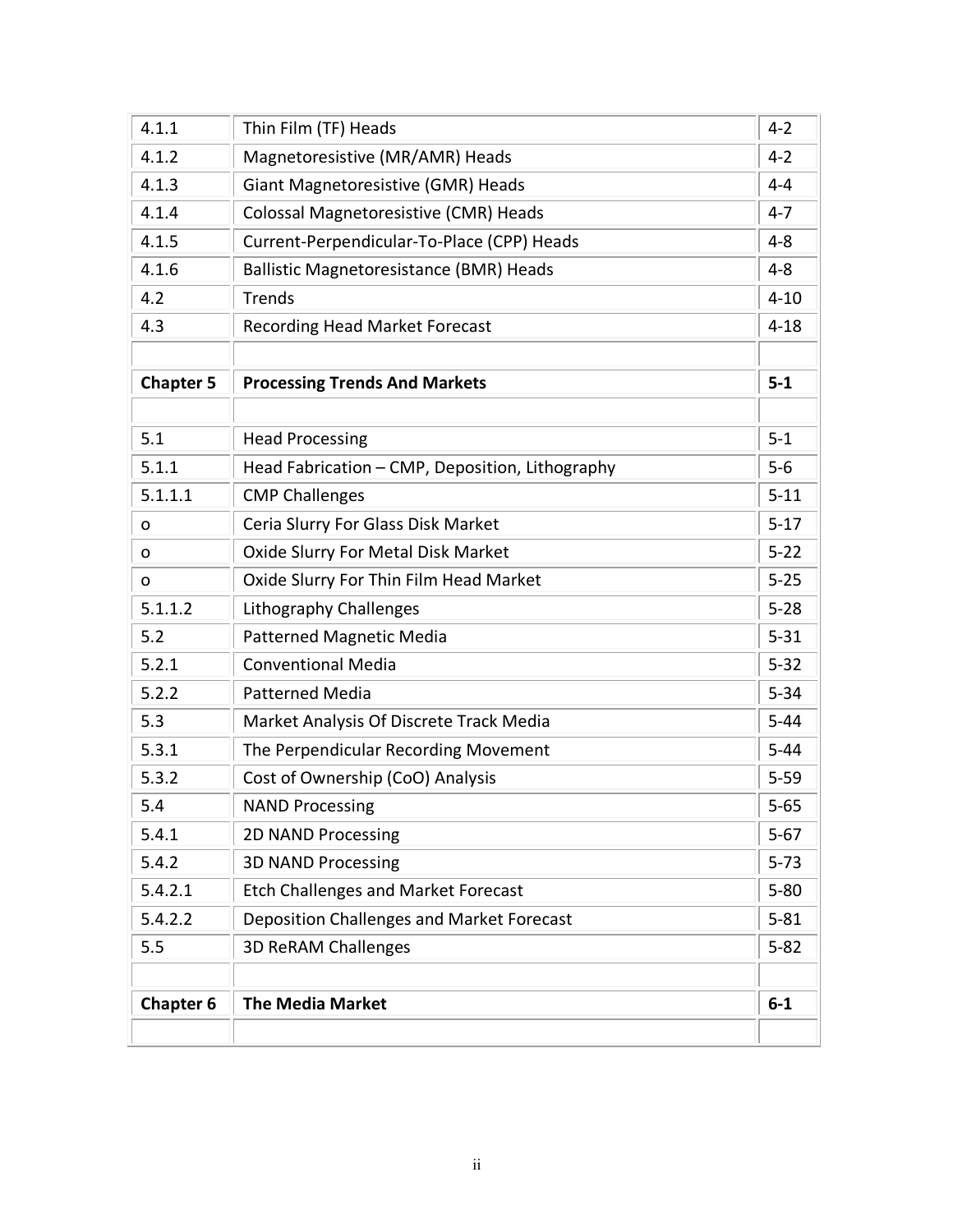| 4.1.1            | Thin Film (TF) Heads                            | $4 - 2$  |
|------------------|-------------------------------------------------|----------|
| 4.1.2            | Magnetoresistive (MR/AMR) Heads                 | $4 - 2$  |
| 4.1.3            | Giant Magnetoresistive (GMR) Heads              | $4 - 4$  |
| 4.1.4            | Colossal Magnetoresistive (CMR) Heads           | $4 - 7$  |
| 4.1.5            | Current-Perpendicular-To-Place (CPP) Heads      | $4 - 8$  |
| 4.1.6            | <b>Ballistic Magnetoresistance (BMR) Heads</b>  | $4 - 8$  |
| 4.2              | <b>Trends</b>                                   | $4 - 10$ |
| 4.3              | <b>Recording Head Market Forecast</b>           | $4 - 18$ |
| <b>Chapter 5</b> | <b>Processing Trends And Markets</b>            | $5-1$    |
| 5.1              | <b>Head Processing</b>                          | $5 - 1$  |
| 5.1.1            | Head Fabrication - CMP, Deposition, Lithography | $5-6$    |
| 5.1.1.1          | <b>CMP Challenges</b>                           | $5 - 11$ |
| o                | Ceria Slurry For Glass Disk Market              | $5 - 17$ |
| o                | Oxide Slurry For Metal Disk Market              | $5 - 22$ |
| o                | Oxide Slurry For Thin Film Head Market          | $5 - 25$ |
| 5.1.1.2          | Lithography Challenges                          | $5 - 28$ |
| 5.2              | Patterned Magnetic Media                        | $5 - 31$ |
| 5.2.1            | <b>Conventional Media</b>                       | $5 - 32$ |
| 5.2.2            | <b>Patterned Media</b>                          | $5 - 34$ |
| 5.3              | Market Analysis Of Discrete Track Media         | $5 - 44$ |
| 5.3.1            | The Perpendicular Recording Movement            | $5 - 44$ |
| 5.3.2            | Cost of Ownership (CoO) Analysis                | $5 - 59$ |
| 5.4              | <b>NAND Processing</b>                          | $5 - 65$ |
| 5.4.1            | 2D NAND Processing                              | $5 - 67$ |
| 5.4.2            | <b>3D NAND Processing</b>                       | $5 - 73$ |
| 5.4.2.1          | <b>Etch Challenges and Market Forecast</b>      | $5 - 80$ |
| 5.4.2.2          | Deposition Challenges and Market Forecast       | $5 - 81$ |
| 5.5              | <b>3D ReRAM Challenges</b>                      | $5 - 82$ |
| <b>Chapter 6</b> | <b>The Media Market</b>                         | $6 - 1$  |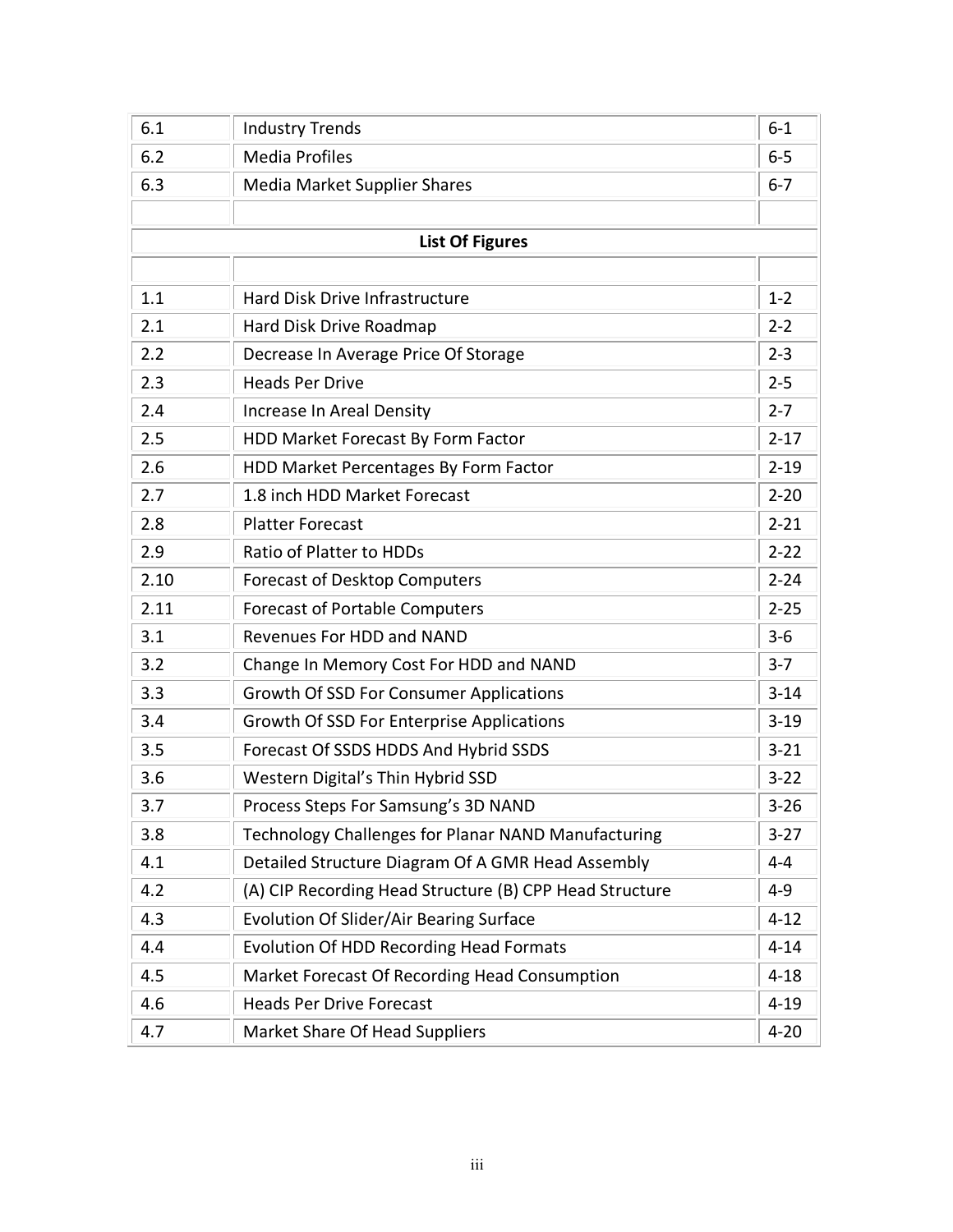| 6.1  | <b>Industry Trends</b>                                  | $6 - 1$  |
|------|---------------------------------------------------------|----------|
| 6.2  | <b>Media Profiles</b>                                   | $6 - 5$  |
| 6.3  | <b>Media Market Supplier Shares</b>                     | $6 - 7$  |
|      |                                                         |          |
|      | <b>List Of Figures</b>                                  |          |
|      |                                                         |          |
| 1.1  | <b>Hard Disk Drive Infrastructure</b>                   | $1 - 2$  |
| 2.1  | Hard Disk Drive Roadmap                                 | $2 - 2$  |
| 2.2  | Decrease In Average Price Of Storage                    | $2 - 3$  |
| 2.3  | <b>Heads Per Drive</b>                                  | $2 - 5$  |
| 2.4  | Increase In Areal Density                               | $2 - 7$  |
| 2.5  | HDD Market Forecast By Form Factor                      | $2 - 17$ |
| 2.6  | HDD Market Percentages By Form Factor                   | $2 - 19$ |
| 2.7  | 1.8 inch HDD Market Forecast                            | $2 - 20$ |
| 2.8  | <b>Platter Forecast</b>                                 | $2 - 21$ |
| 2.9  | Ratio of Platter to HDDs                                | $2 - 22$ |
| 2.10 | Forecast of Desktop Computers                           | $2 - 24$ |
| 2.11 | <b>Forecast of Portable Computers</b>                   | $2 - 25$ |
| 3.1  | Revenues For HDD and NAND                               | $3 - 6$  |
| 3.2  | Change In Memory Cost For HDD and NAND                  | $3 - 7$  |
| 3.3  | <b>Growth Of SSD For Consumer Applications</b>          | $3 - 14$ |
| 3.4  | Growth Of SSD For Enterprise Applications               | $3 - 19$ |
| 3.5  | Forecast Of SSDS HDDS And Hybrid SSDS                   | $3 - 21$ |
| 3.6  | Western Digital's Thin Hybrid SSD                       | $3 - 22$ |
| 3.7  | Process Steps For Samsung's 3D NAND                     | $3 - 26$ |
| 3.8  | Technology Challenges for Planar NAND Manufacturing     | $3 - 27$ |
| 4.1  | Detailed Structure Diagram Of A GMR Head Assembly       | $4 - 4$  |
| 4.2  | (A) CIP Recording Head Structure (B) CPP Head Structure | $4 - 9$  |
| 4.3  | <b>Evolution Of Slider/Air Bearing Surface</b>          | $4 - 12$ |
| 4.4  | <b>Evolution Of HDD Recording Head Formats</b>          | $4 - 14$ |
| 4.5  | Market Forecast Of Recording Head Consumption           | $4 - 18$ |
| 4.6  | <b>Heads Per Drive Forecast</b>                         | $4 - 19$ |
| 4.7  | Market Share Of Head Suppliers                          | $4 - 20$ |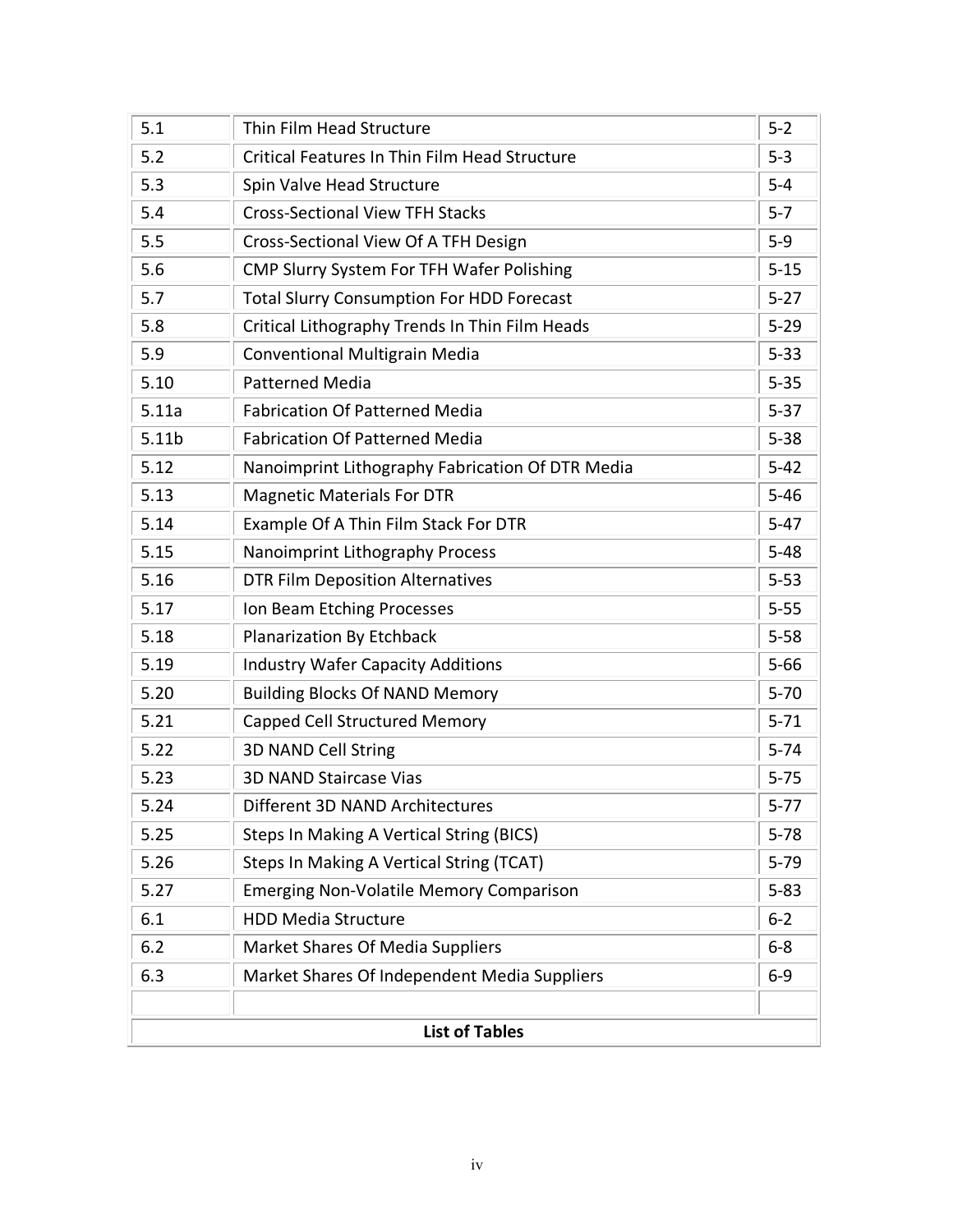| 5.1   | Thin Film Head Structure                         | $5 - 2$  |
|-------|--------------------------------------------------|----------|
| 5.2   | Critical Features In Thin Film Head Structure    | $5 - 3$  |
| 5.3   | Spin Valve Head Structure                        | $5-4$    |
| 5.4   | <b>Cross-Sectional View TFH Stacks</b>           | $5 - 7$  |
| 5.5   | Cross-Sectional View Of A TFH Design             | $5-9$    |
| 5.6   | CMP Slurry System For TFH Wafer Polishing        | $5 - 15$ |
| 5.7   | <b>Total Slurry Consumption For HDD Forecast</b> | $5 - 27$ |
| 5.8   | Critical Lithography Trends In Thin Film Heads   | $5 - 29$ |
| 5.9   | <b>Conventional Multigrain Media</b>             | $5 - 33$ |
| 5.10  | <b>Patterned Media</b>                           | $5 - 35$ |
| 5.11a | <b>Fabrication Of Patterned Media</b>            | $5 - 37$ |
| 5.11b | <b>Fabrication Of Patterned Media</b>            | $5 - 38$ |
| 5.12  | Nanoimprint Lithography Fabrication Of DTR Media | $5 - 42$ |
| 5.13  | <b>Magnetic Materials For DTR</b>                | $5 - 46$ |
| 5.14  | Example Of A Thin Film Stack For DTR             | $5 - 47$ |
| 5.15  | Nanoimprint Lithography Process                  | $5 - 48$ |
| 5.16  | <b>DTR Film Deposition Alternatives</b>          | $5 - 53$ |
| 5.17  | Ion Beam Etching Processes                       | $5 - 55$ |
| 5.18  | <b>Planarization By Etchback</b>                 | $5 - 58$ |
| 5.19  | <b>Industry Wafer Capacity Additions</b>         | $5 - 66$ |
| 5.20  | <b>Building Blocks Of NAND Memory</b>            | $5 - 70$ |
| 5.21  | Capped Cell Structured Memory                    | $5 - 71$ |
| 5.22  | 3D NAND Cell String                              | $5 - 74$ |
| 5.23  | <b>3D NAND Staircase Vias</b>                    | $5 - 75$ |
| 5.24  | Different 3D NAND Architectures                  | $5 - 77$ |
| 5.25  | Steps In Making A Vertical String (BICS)         | $5 - 78$ |
| 5.26  | Steps In Making A Vertical String (TCAT)         | $5 - 79$ |
| 5.27  | <b>Emerging Non-Volatile Memory Comparison</b>   | $5 - 83$ |
| 6.1   | <b>HDD Media Structure</b>                       | $6 - 2$  |
| 6.2   | Market Shares Of Media Suppliers                 | $6-8$    |
| 6.3   | Market Shares Of Independent Media Suppliers     | $6-9$    |
|       | <b>List of Tables</b>                            |          |
|       |                                                  |          |